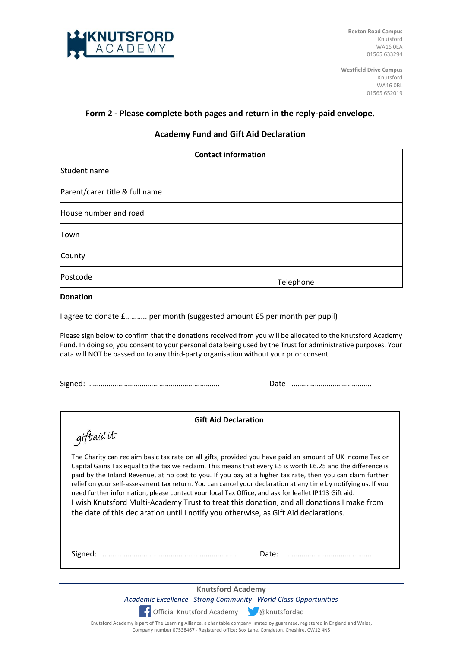

**Bexton Road Campus** Knutsford WA16 0EA 01565 633294

**Westfield Drive Campus** Knutsford WA16 0BL 01565 652019

# **Form 2 - Please complete both pages and return in the reply-paid envelope.**

### **Academy Fund and Gift Aid Declaration**

| <b>Contact information</b>     |           |
|--------------------------------|-----------|
| Student name                   |           |
| Parent/carer title & full name |           |
| House number and road          |           |
| Town                           |           |
| County                         |           |
| Postcode                       | Telephone |

#### **Donation**

I agree to donate £……….. per month (suggested amount £5 per month per pupil)

Please sign below to confirm that the donations received from you will be allocated to the Knutsford Academy Fund. In doing so, you consent to your personal data being used by the Trust for administrative purposes. Your data will NOT be passed on to any third-party organisation without your prior consent.

Signed: …………………………………………………………. Date …………………………………..

| <b>Gift Aid Declaration</b>                                                                                                                                                                                                                                                                                                                                                                                                                                                                                                                                                                                                                                                                                                                            |  |  |
|--------------------------------------------------------------------------------------------------------------------------------------------------------------------------------------------------------------------------------------------------------------------------------------------------------------------------------------------------------------------------------------------------------------------------------------------------------------------------------------------------------------------------------------------------------------------------------------------------------------------------------------------------------------------------------------------------------------------------------------------------------|--|--|
| giftaid it                                                                                                                                                                                                                                                                                                                                                                                                                                                                                                                                                                                                                                                                                                                                             |  |  |
| The Charity can reclaim basic tax rate on all gifts, provided you have paid an amount of UK Income Tax or<br>Capital Gains Tax equal to the tax we reclaim. This means that every £5 is worth £6.25 and the difference is<br>paid by the Inland Revenue, at no cost to you. If you pay at a higher tax rate, then you can claim further<br>relief on your self-assessment tax return. You can cancel your declaration at any time by notifying us. If you<br>need further information, please contact your local Tax Office, and ask for leaflet IP113 Gift aid.<br>I wish Knutsford Multi-Academy Trust to treat this donation, and all donations I make from<br>the date of this declaration until I notify you otherwise, as Gift Aid declarations. |  |  |
| Date:<br>Signed:                                                                                                                                                                                                                                                                                                                                                                                                                                                                                                                                                                                                                                                                                                                                       |  |  |
|                                                                                                                                                                                                                                                                                                                                                                                                                                                                                                                                                                                                                                                                                                                                                        |  |  |

**Knutsford Academy** *Academic Excellence Strong Community World Class Opportunities*



Knutsford Academy is part of The Learning Alliance, a charitable company limited by guarantee, registered in England and Wales, Company number 07538467 - Registered office: Box Lane, Congleton, Cheshire. CW12 4NS